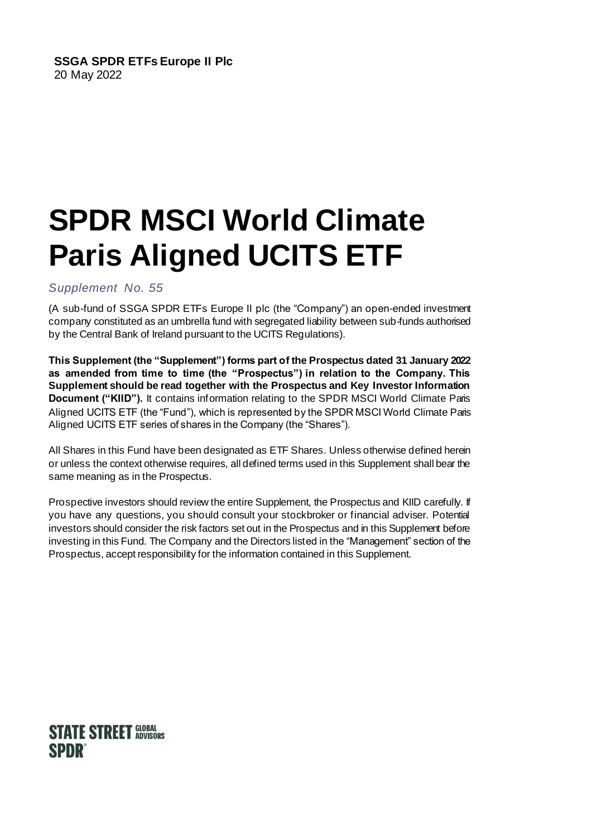#### **SSGA SPDR ETFs Europe II Plc** 20 May 2022

# **SPDR MSCI World Climate Paris Aligned UCITS ETF**

*Supplement No. 55*

(A sub-fund of SSGA SPDR ETFs Europe II plc (the "Company") an open-ended investment company constituted as an umbrella fund with segregated liability between sub-funds authorised by the Central Bank of Ireland pursuant to the UCITS Regulations).

**This Supplement (the "Supplement") forms part of the Prospectus dated 31 January 2022 as amended from time to time (the "Prospectus") in relation to the Company. This Supplement should be read together with the Prospectus and Key Investor Information Document ("KIID").** It contains information relating to the SPDR MSCI World Climate Paris Aligned UCITS ETF (the "Fund"), which is represented by the SPDR MSCI World Climate Paris Aligned UCITS ETF series of shares in the Company (the "Shares").

All Shares in this Fund have been designated as ETF Shares. Unless otherwise defined herein or unless the context otherwise requires, all defined terms used in this Supplement shall bear the same meaning as in the Prospectus.

Prospective investors should review the entire Supplement, the Prospectus and KIID carefully. If you have any questions, you should consult your stockbroker or financial adviser. Potential investors should consider the risk factors set out in the Prospectus and in this Supplement before investing in this Fund. The Company and the Directors listed in the "Management" section of the Prospectus, accept responsibility for the information contained in this Supplement.

# **STATE STREET GLOBAL SPDR®**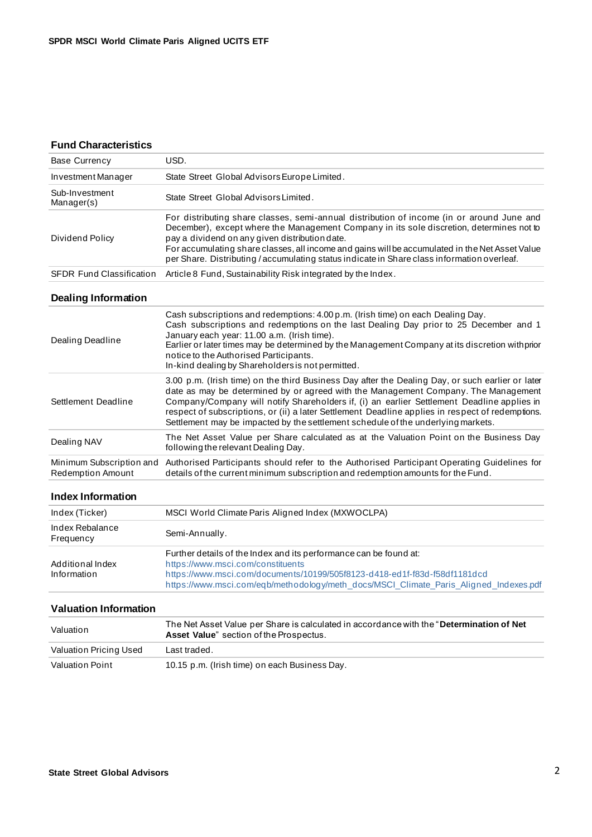#### **Fund Characteristics**

|                                 | Settlement may be impacted by the settlement schedule of the underlying markets.                                                                                                                                                                                                                                                                                                                                         |
|---------------------------------|--------------------------------------------------------------------------------------------------------------------------------------------------------------------------------------------------------------------------------------------------------------------------------------------------------------------------------------------------------------------------------------------------------------------------|
| Settlement Deadline             | Company/Company will notify Shareholders if, (i) an earlier Settlement Deadline applies in<br>respect of subscriptions, or (ii) a later Settlement Deadline applies in respect of redemptions.<br>The Net Asset Value per Share calculated as at the Valuation Point on the Business Day                                                                                                                                 |
|                                 | 3.00 p.m. (Irish time) on the third Business Day after the Dealing Day, or such earlier or later<br>date as may be determined by or agreed with the Management Company. The Management                                                                                                                                                                                                                                   |
| Dealing Deadline                | Cash subscriptions and redemptions: 4.00 p.m. (Irish time) on each Dealing Day.<br>Cash subscriptions and redemptions on the last Dealing Day prior to 25 December and 1<br>January each year: 11.00 a.m. (Irish time).<br>Earlier or later times may be determined by the Management Company at its discretion withprior<br>notice to the Authorised Participants.<br>In-kind dealing by Shareholders is not permitted. |
| <b>Dealing Information</b>      |                                                                                                                                                                                                                                                                                                                                                                                                                          |
| <b>SFDR Fund Classification</b> | Article 8 Fund, Sustainability Risk integrated by the Index.                                                                                                                                                                                                                                                                                                                                                             |
| Dividend Policy                 | December), except where the Management Company in its sole discretion, determines not to<br>pay a dividend on any given distribution date.<br>For accumulating share classes, all income and gains will be accumulated in the Net Asset Value<br>per Share. Distributing/accumulating status indicate in Share class information overleaf.                                                                               |
| Sub-Investment<br>Manager(s)    | State Street Global Advisors Limited.<br>For distributing share classes, semi-annual distribution of income (in or around June and                                                                                                                                                                                                                                                                                       |
| Investment Manager              | State Street Global Advisors Europe Limited.                                                                                                                                                                                                                                                                                                                                                                             |
| <b>Base Currency</b>            | USD.                                                                                                                                                                                                                                                                                                                                                                                                                     |

| Index (Ticker)                  | MSCI World Climate Paris Aligned Index (MXWOCLPA)                                                                                                                                                                                                                            |
|---------------------------------|------------------------------------------------------------------------------------------------------------------------------------------------------------------------------------------------------------------------------------------------------------------------------|
| Index Rebalance<br>Frequency    | Semi-Annually.                                                                                                                                                                                                                                                               |
| Additional Index<br>Information | Further details of the Index and its performance can be found at:<br>https://www.msci.com/constituents<br>https://www.msci.com/documents/10199/505f8123-d418-ed1f-f83d-f58df1181dcd<br>https://www.msci.com/eqb/methodology/meth_docs/MSCI_Climate_Paris_Aligned_Indexes.pdf |

#### **Valuation Information**

| Valuation              | The Net Asset Value per Share is calculated in accordance with the "Determination of Net<br><b>Asset Value</b> " section of the Prospectus. |  |  |  |  |
|------------------------|---------------------------------------------------------------------------------------------------------------------------------------------|--|--|--|--|
| Valuation Pricing Used | Last traded.                                                                                                                                |  |  |  |  |
| Valuation Point        | 10.15 p.m. (Irish time) on each Business Day.                                                                                               |  |  |  |  |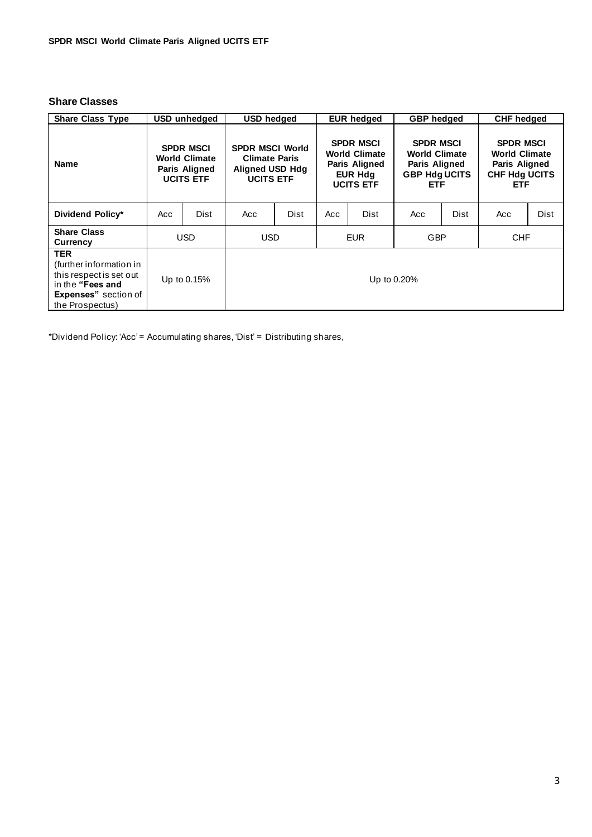#### **Share Classes**

| <b>Share Class Type</b>                                                                                                                | <b>USD unhedged</b>                                                           |             | <b>USD hedged</b>                                                                            |      | <b>EUR hedged</b>                                                                               |      | <b>GBP</b> hedged                                                                               |      | <b>CHF</b> hedged                                                                                      |      |
|----------------------------------------------------------------------------------------------------------------------------------------|-------------------------------------------------------------------------------|-------------|----------------------------------------------------------------------------------------------|------|-------------------------------------------------------------------------------------------------|------|-------------------------------------------------------------------------------------------------|------|--------------------------------------------------------------------------------------------------------|------|
| <b>Name</b>                                                                                                                            | <b>SPDR MSCI</b><br><b>World Climate</b><br>Paris Aligned<br><b>UCITS ETF</b> |             | <b>SPDR MSCI World</b><br><b>Climate Paris</b><br><b>Aligned USD Hdg</b><br><b>UCITS ETF</b> |      | <b>SPDR MSCI</b><br><b>World Climate</b><br>Paris Aligned<br><b>EUR Hdg</b><br><b>UCITS ETF</b> |      | <b>SPDR MSCI</b><br><b>World Climate</b><br>Paris Aligned<br><b>GBP Hdg UCITS</b><br><b>ETF</b> |      | <b>SPDR MSCI</b><br><b>World Climate</b><br><b>Paris Aligned</b><br><b>CHF Hdg UCITS</b><br><b>ETF</b> |      |
| <b>Dividend Policy*</b>                                                                                                                | Acc                                                                           | Dist        | Acc                                                                                          | Dist | Acc                                                                                             | Dist | Acc                                                                                             | Dist | Acc                                                                                                    | Dist |
| <b>Share Class</b><br>Currency                                                                                                         | <b>USD</b>                                                                    |             | <b>USD</b>                                                                                   |      | <b>EUR</b>                                                                                      |      | <b>GBP</b>                                                                                      |      | <b>CHF</b>                                                                                             |      |
| <b>TER</b><br>(further information in<br>this respect is set out<br>in the "Fees and<br><b>Expenses"</b> section of<br>the Prospectus) |                                                                               | Up to 0.15% | Up to 0.20%                                                                                  |      |                                                                                                 |      |                                                                                                 |      |                                                                                                        |      |

\*Dividend Policy: 'Acc' = Accumulating shares, 'Dist' = Distributing shares,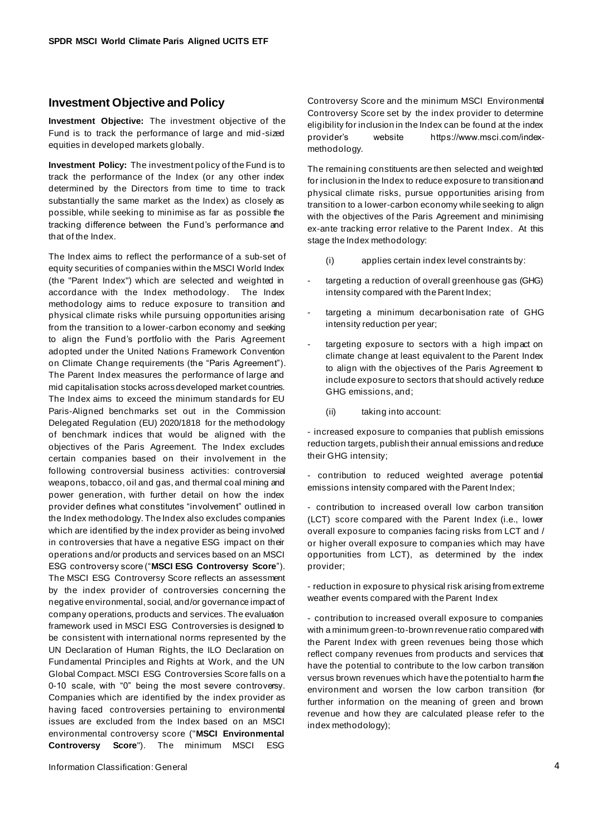#### **Investment Objective and Policy**

**Investment Objective:** The investment objective of the Fund is to track the performance of large and mid -sized equities in developed markets globally.

**Investment Policy:** The investment policy of the Fund is to track the performance of the Index (or any other index determined by the Directors from time to time to track substantially the same market as the Index) as closely as possible, while seeking to minimise as far as possible the tracking difference between the Fund's performance and that of the Index.

The Index aims to reflect the performance of a sub-set of equity securities of companies within the MSCI World Index (the "Parent Index") which are selected and weighted in accordance with the Index methodology. The Index methodology aims to reduce exposure to transition and physical climate risks while pursuing opportunities arising from the transition to a lower-carbon economy and seeking to align the Fund's portfolio with the Paris Agreement adopted under the United Nations Framework Convention on Climate Change requirements (the "Paris Agreement"). The Parent Index measures the performance of large and mid capitalisation stocks across developed market countries. The Index aims to exceed the minimum standards for EU Paris-Aligned benchmarks set out in the Commission Delegated Regulation (EU) 2020/1818 for the methodology of benchmark indices that would be aligned with the objectives of the Paris Agreement. The Index excludes certain companies based on their involvement in the following controversial business activities: controversial weapons, tobacco, oil and gas, and thermal coal mining and power generation, with further detail on how the index provider defines what constitutes "involvement" outlined in the Index methodology. The Index also excludes companies which are identified by the index provider as being involved in controversies that have a negative ESG impact on their operations and/or products and services based on an MSCI ESG controversy score ("**MSCI ESG Controversy Score**"). The MSCI ESG Controversy Score reflects an assessment by the index provider of controversies concerning the negative environmental, social, and/or governance impact of company operations, products and services. The evaluation framework used in MSCI ESG Controversies is designed to be consistent with international norms represented by the UN Declaration of Human Rights, the ILO Declaration on Fundamental Principles and Rights at Work, and the UN Global Compact. MSCI ESG Controversies Score falls on a 0-10 scale, with "0" being the most severe controversy. Companies which are identified by the index provider as having faced controversies pertaining to environmental issues are excluded from the Index based on an MSCI environmental controversy score ("**MSCI Environmental Controversy Score**"). The minimum MSCI ESG

Controversy Score and the minimum MSCI Environmental Controversy Score set by the index provider to determine eligibility for inclusion in the Index can be found at the index provider's website https://www.msci.com/indexmethodology.

The remaining constituents are then selected and weighted for inclusion in the Index to reduce exposure to transition and physical climate risks, pursue opportunities arising from transition to a lower-carbon economy while seeking to align with the objectives of the Paris Agreement and minimising ex-ante tracking error relative to the Parent Index. At this stage the Index methodology:

- (i) applies certain index level constraints by:
- targeting a reduction of overall greenhouse gas (GHG) intensity compared with the Parent Index;
- targeting a minimum decarbonisation rate of GHG intensity reduction per year;
- targeting exposure to sectors with a high impact on climate change at least equivalent to the Parent Index to align with the objectives of the Paris Agreement to include exposure to sectors that should actively reduce GHG emissions, and;
	- (ii) taking into account:

- increased exposure to companies that publish emissions reduction targets, publish their annual emissions and reduce their GHG intensity;

- contribution to reduced weighted average potential emissions intensity compared with the Parent Index;

- contribution to increased overall low carbon transition (LCT) score compared with the Parent Index (i.e., lower overall exposure to companies facing risks from LCT and / or higher overall exposure to companies which may have opportunities from LCT), as determined by the index provider;

- reduction in exposure to physical risk arising from extreme weather events compared with the Parent Index

- contribution to increased overall exposure to companies with a minimum green-to-brown revenue ratio compared with the Parent Index with green revenues being those which reflect company revenues from products and services that have the potential to contribute to the low carbon transition versus brown revenues which have the potential to harm the environment and worsen the low carbon transition (for further information on the meaning of green and brown revenue and how they are calculated please refer to the index methodology);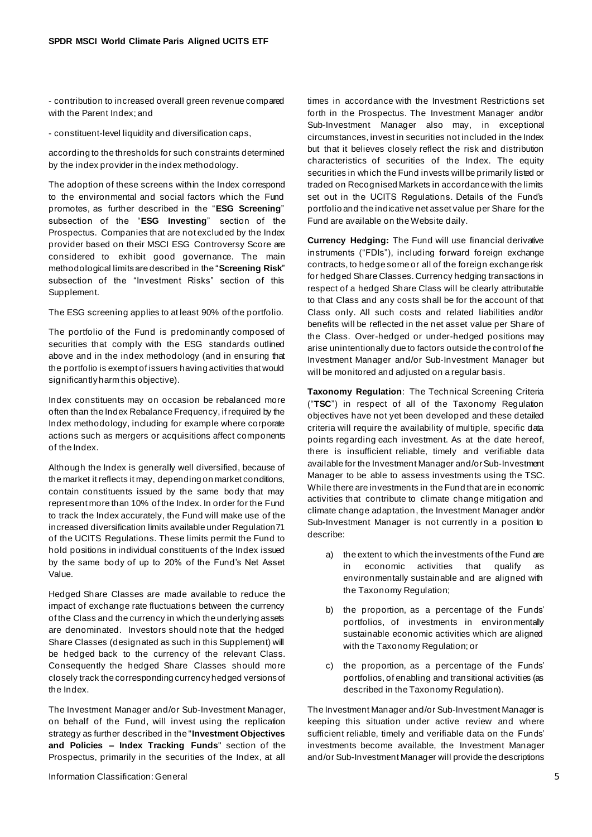- contribution to increased overall green revenue compared with the Parent Index; and

- constituent-level liquidity and diversification caps,

according to the thresholds for such constraints determined by the index provider in the index methodology.

The adoption of these screens within the Index correspond to the environmental and social factors which the Fund promotes, as further described in the "**ESG Screening**" subsection of the "**ESG Investing**" section of the Prospectus. Companies that are not excluded by the Index provider based on their MSCI ESG Controversy Score are considered to exhibit good governance. The main methodological limits are described in the "**Screening Risk**" subsection of the "Investment Risks" section of this Supplement.

The ESG screening applies to at least 90% of the portfolio.

The portfolio of the Fund is predominantly composed of securities that comply with the ESG standards outlined above and in the index methodology (and in ensuring that the portfolio is exempt of issuers having activities that would significantly harm this objective).

Index constituents may on occasion be rebalanced more often than the Index Rebalance Frequency, if required by the Index methodology, including for example where corporate actions such as mergers or acquisitions affect components of the Index.

Although the Index is generally well diversified, because of the market it reflects it may, depending on market conditions, contain constituents issued by the same body that may represent more than 10% of the Index. In order for the Fund to track the Index accurately, the Fund will make use of the increased diversification limits available under Regulation 71 of the UCITS Regulations. These limits permit the Fund to hold positions in individual constituents of the Index issued by the same body of up to 20% of the Fund's Net Asset Value.

Hedged Share Classes are made available to reduce the impact of exchange rate fluctuations between the currency of the Class and the currency in which the underlying assets are denominated. Investors should note that the hedged Share Classes (designated as such in this Supplement) will be hedged back to the currency of the relevant Class. Consequently the hedged Share Classes should more closely track the corresponding currency hedged versions of the Index.

The Investment Manager and/or Sub-Investment Manager, on behalf of the Fund, will invest using the replication strategy as further described in the "**Investment Objectives and Policies – Index Tracking Funds**" section of the Prospectus, primarily in the securities of the Index, at all times in accordance with the Investment Restrictions set forth in the Prospectus. The Investment Manager and/or Sub-Investment Manager also may, in exceptional circumstances, invest in securities not included in the Index but that it believes closely reflect the risk and distribution characteristics of securities of the Index. The equity securities in which the Fund invests will be primarily listed or traded on Recognised Markets in accordance with the limits set out in the UCITS Regulations. Details of the Fund's portfolio and the indicative net asset value per Share for the Fund are available on the Website daily.

**Currency Hedging:** The Fund will use financial derivative instruments ("FDIs"), including forward foreign exchange contracts, to hedge some or all of the foreign exchange risk for hedged Share Classes. Currency hedging transactions in respect of a hedged Share Class will be clearly attributable to that Class and any costs shall be for the account of that Class only. All such costs and related liabilities and/or benefits will be reflected in the net asset value per Share of the Class. Over-hedged or under-hedged positions may arise unintentionally due to factors outside the control of the Investment Manager and/or Sub-Investment Manager but will be monitored and adjusted on a regular basis.

**Taxonomy Regulation**: The Technical Screening Criteria ("**TSC**") in respect of all of the Taxonomy Regulation objectives have not yet been developed and these detailed criteria will require the availability of multiple, specific data points regarding each investment. As at the date hereof, there is insufficient reliable, timely and verifiable data available for the Investment Manager and/or Sub-Investment Manager to be able to assess investments using the TSC. While there are investments in the Fund that are in economic activities that contribute to climate change mitigation and climate change adaptation, the Investment Manager and/or Sub-Investment Manager is not currently in a position to describe:

- a) the extent to which the investments of the Fund are in economic activities that qualify as environmentally sustainable and are aligned with the Taxonomy Regulation;
- b) the proportion, as a percentage of the Funds' portfolios, of investments in environmentally sustainable economic activities which are aligned with the Taxonomy Regulation; or
- c) the proportion, as a percentage of the Funds' portfolios, of enabling and transitional activities (as described in the Taxonomy Regulation).

The Investment Manager and/or Sub-Investment Manager is keeping this situation under active review and where sufficient reliable, timely and verifiable data on the Funds' investments become available, the Investment Manager and/or Sub-Investment Manager will provide the descriptions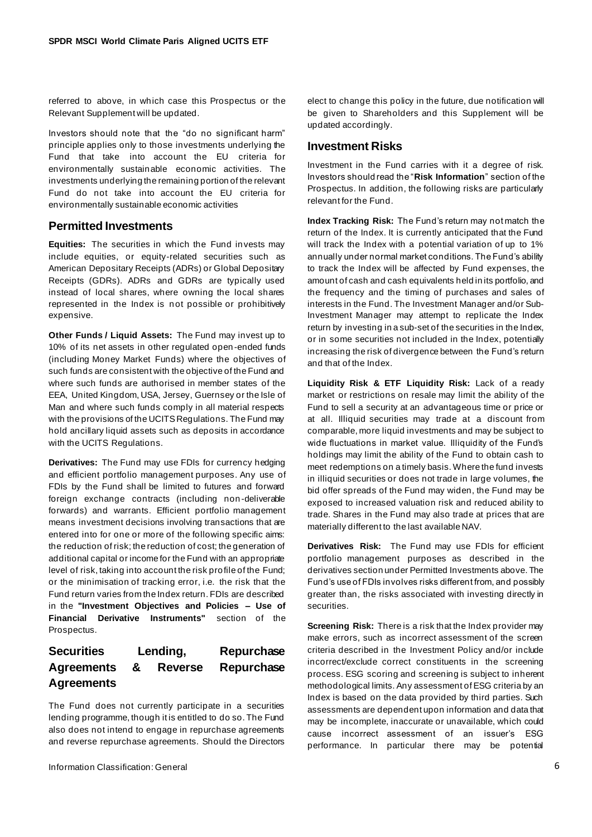referred to above, in which case this Prospectus or the Relevant Supplement will be updated.

Investors should note that the "do no significant harm" principle applies only to those investments underlying the Fund that take into account the EU criteria for environmentally sustainable economic activities. The investments underlying the remaining portion of the relevant Fund do not take into account the EU criteria for environmentally sustainable economic activities

#### **Permitted Investments**

**Equities:** The securities in which the Fund invests may include equities, or equity-related securities such as American Depositary Receipts (ADRs) or Global Depositary Receipts (GDRs). ADRs and GDRs are typically used instead of local shares, where owning the local shares represented in the Index is not possible or prohibitively expensive.

**Other Funds / Liquid Assets:** The Fund may invest up to 10% of its net assets in other regulated open-ended funds (including Money Market Funds) where the objectives of such funds are consistent with the objective of the Fund and where such funds are authorised in member states of the EEA, United Kingdom, USA, Jersey, Guernsey or the Isle of Man and where such funds comply in all material respects with the provisions of the UCITS Regulations. The Fund may hold ancillary liquid assets such as deposits in accordance with the UCITS Regulations.

**Derivatives:** The Fund may use FDIs for currency hedging and efficient portfolio management purposes. Any use of FDIs by the Fund shall be limited to futures and forward foreign exchange contracts (including non -deliverable forwards) and warrants. Efficient portfolio management means investment decisions involving transactions that are entered into for one or more of the following specific aims: the reduction of risk; the reduction of cost; the generation of additional capital or income for the Fund with an appropriate level of risk, taking into account the risk profile of the Fund; or the minimisation of tracking error, i.e. the risk that the Fund return varies from the Index return. FDIs are described in the **"Investment Objectives and Policies – Use of Financial Derivative Instruments"** section of the Prospectus.

# **Securities Lending, Repurchase Agreements & Reverse Repurchase Agreements**

The Fund does not currently participate in a securities lending programme, though it is entitled to do so. The Fund also does not intend to engage in repurchase agreements and reverse repurchase agreements. Should the Directors elect to change this policy in the future, due notification will be given to Shareholders and this Supplement will be updated accordingly.

#### **Investment Risks**

Investment in the Fund carries with it a degree of risk. Investors should read the "**Risk Information**" section of the Prospectus. In addition, the following risks are particularly relevant for the Fund.

**Index Tracking Risk:** The Fund's return may not match the return of the Index. It is currently anticipated that the Fund will track the Index with a potential variation of up to 1% annually under normal market conditions. The Fund's ability to track the Index will be affected by Fund expenses, the amount of cash and cash equivalents held in its portfolio, and the frequency and the timing of purchases and sales of interests in the Fund. The Investment Manager and/or Sub-Investment Manager may attempt to replicate the Index return by investing in a sub-set of the securities in the Index, or in some securities not included in the Index, potentially increasing the risk of divergence between the Fund's return and that of the Index.

**Liquidity Risk & ETF Liquidity Risk:** Lack of a ready market or restrictions on resale may limit the ability of the Fund to sell a security at an advantageous time or price or at all. Illiquid securities may trade at a discount from comparable, more liquid investments and may be subject to wide fluctuations in market value. Illiquidity of the Fund's holdings may limit the ability of the Fund to obtain cash to meet redemptions on a timely basis. Where the fund invests in illiquid securities or does not trade in large volumes, the bid offer spreads of the Fund may widen, the Fund may be exposed to increased valuation risk and reduced ability to trade. Shares in the Fund may also trade at prices that are materially different to the last available NAV.

**Derivatives Risk:** The Fund may use FDIs for efficient portfolio management purposes as described in the derivatives section under Permitted Investments above. The Fund's use of FDIs involves risks different from, and possibly greater than, the risks associated with investing directly in securities.

**Screening Risk:** There is a risk that the Index provider may make errors, such as incorrect assessment of the screen criteria described in the Investment Policy and/or include incorrect/exclude correct constituents in the screening process. ESG scoring and screening is subject to inherent methodological limits. Any assessment of ESG criteria by an Index is based on the data provided by third parties. Such assessments are dependent upon information and data that may be incomplete, inaccurate or unavailable, which could cause incorrect assessment of an issuer's ESG performance. In particular there may be potential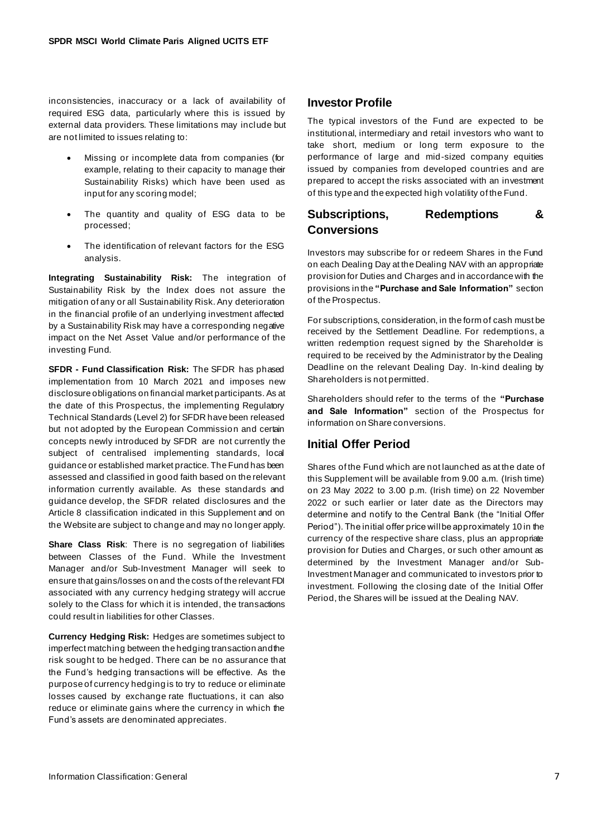inconsistencies, inaccuracy or a lack of availability of required ESG data, particularly where this is issued by external data providers. These limitations may include but are not limited to issues relating to:

- Missing or incomplete data from companies (for example, relating to their capacity to manage their Sustainability Risks) which have been used as input for any scoring model;
- The quantity and quality of ESG data to be processed;
- The identification of relevant factors for the ESG analysis.

**Integrating Sustainability Risk:** The integration of Sustainability Risk by the Index does not assure the mitigation of any or all Sustainability Risk. Any deterioration in the financial profile of an underlying investment affected by a Sustainability Risk may have a corresponding negative impact on the Net Asset Value and/or performance of the investing Fund.

**SFDR - Fund Classification Risk:** The SFDR has phased implementation from 10 March 2021 and imposes new disclosure obligations on financial market participants. As at the date of this Prospectus, the implementing Regulatory Technical Standards (Level 2) for SFDR have been released but not adopted by the European Commission and certain concepts newly introduced by SFDR are not currently the subject of centralised implementing standards, local guidance or established market practice. The Fund has been assessed and classified in good faith based on the relevant information currently available. As these standards and guidance develop, the SFDR related disclosures and the Article 8 classification indicated in this Supplement and on the Website are subject to change and may no longer apply.

**Share Class Risk:** There is no segregation of liabilities between Classes of the Fund. While the Investment Manager and/or Sub-Investment Manager will seek to ensure that gains/losses on and the costs of the relevant FDI associated with any currency hedging strategy will accrue solely to the Class for which it is intended, the transactions could result in liabilities for other Classes.

**Currency Hedging Risk:** Hedges are sometimes subject to imperfect matching between the hedging transaction and the risk sought to be hedged. There can be no assurance that the Fund's hedging transactions will be effective. As the purpose of currency hedging is to try to reduce or eliminate losses caused by exchange rate fluctuations, it can also reduce or eliminate gains where the currency in which the Fund's assets are denominated appreciates.

### **Investor Profile**

The typical investors of the Fund are expected to be institutional, intermediary and retail investors who want to take short, medium or long term exposure to the performance of large and mid-sized company equities issued by companies from developed countries and are prepared to accept the risks associated with an investment of this type and the expected high volatility of the Fund.

# **Subscriptions, Redemptions & Conversions**

Investors may subscribe for or redeem Shares in the Fund on each Dealing Day at the Dealing NAV with an appropriate provision for Duties and Charges and in accordance with the provisions in the **"Purchase and Sale Information"** section of the Prospectus.

For subscriptions, consideration, in the form of cash must be received by the Settlement Deadline. For redemptions, a written redemption request signed by the Shareholder is required to be received by the Administrator by the Dealing Deadline on the relevant Dealing Day. In-kind dealing by Shareholders is not permitted.

Shareholders should refer to the terms of the **"Purchase and Sale Information"** section of the Prospectus for information on Share conversions.

## **Initial Offer Period**

Shares of the Fund which are not launched as at the date of this Supplement will be available from 9.00 a.m. (Irish time) on 23 May 2022 to 3.00 p.m. (Irish time) on 22 November 2022 or such earlier or later date as the Directors may determine and notify to the Central Bank (the "Initial Offer Period"). The initial offer price will be approximately 10 in the currency of the respective share class, plus an appropriate provision for Duties and Charges, or such other amount as determined by the Investment Manager and/or Sub-Investment Manager and communicated to investors prior to investment. Following the closing date of the Initial Offer Period, the Shares will be issued at the Dealing NAV.